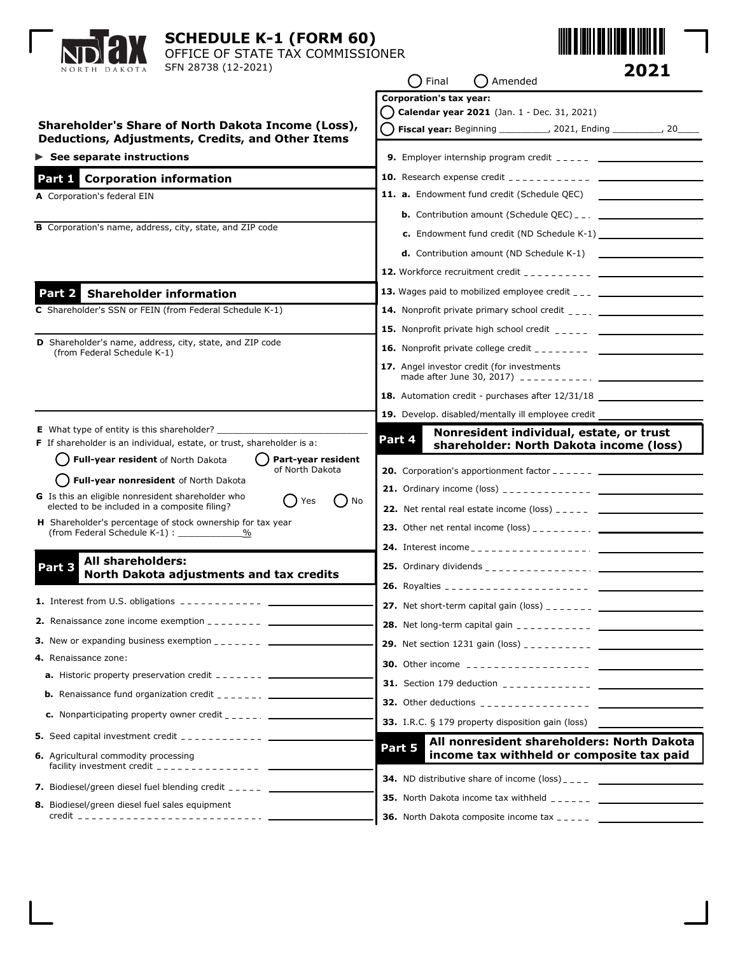| <b>SCHEDULE K-1 (FORM 60)</b><br>OFFICE OF STATE TAX COMMISSIONER<br>SFN 28738 (12-2021)<br>NORTH DAKOTA                                                                                                                                                                                                                                                                                                                                                                                           | 2021<br>Final<br>( ) Amended                                                                                                                                                                                                                                                                                                                                                                                                                            |
|----------------------------------------------------------------------------------------------------------------------------------------------------------------------------------------------------------------------------------------------------------------------------------------------------------------------------------------------------------------------------------------------------------------------------------------------------------------------------------------------------|---------------------------------------------------------------------------------------------------------------------------------------------------------------------------------------------------------------------------------------------------------------------------------------------------------------------------------------------------------------------------------------------------------------------------------------------------------|
| Shareholder's Share of North Dakota Income (Loss),<br>Deductions, Adjustments, Credits, and Other Items<br>$\triangleright$ See separate instructions                                                                                                                                                                                                                                                                                                                                              | <b>Corporation's tax year:</b><br>Calendar year 2021 (Jan. 1 - Dec. 31, 2021)<br>( ) Fiscal year: Beginning __________, 2021, Ending __________, 20____<br><b>9.</b> Employer internship program credit $\frac{1}{2}$ = $\frac{1}{2}$ = $\frac{1}{2}$ = $\frac{1}{2}$ = $\frac{1}{2}$ = $\frac{1}{2}$ = $\frac{1}{2}$ = $\frac{1}{2}$ = $\frac{1}{2}$ = $\frac{1}{2}$ = $\frac{1}{2}$ = $\frac{1}{2}$ = $\frac{1}{2}$ = $\frac{1}{2}$ = $\frac{1}{2}$ = |
| Part 1 Corporation information                                                                                                                                                                                                                                                                                                                                                                                                                                                                     |                                                                                                                                                                                                                                                                                                                                                                                                                                                         |
| A Corporation's federal EIN<br>B Corporation's name, address, city, state, and ZIP code                                                                                                                                                                                                                                                                                                                                                                                                            | 11. a. Endowment fund credit (Schedule QEC)<br><b>b.</b> Contribution amount (Schedule QEC) $_{-}$ $_{-}$ $_{-}$ $_{-}$ $_{-}$ $_{-}$ $_{-}$ $_{-}$ $_{-}$ $_{-}$ $_{-}$ $_{-}$ $_{-}$ $_{-}$ $_{-}$ $_{-}$ $_{-}$ $_{-}$ $_{-}$ $_{-}$ $_{-}$ $_{-}$ $_{-}$ $_{-}$ $_{-}$ $_{-}$ $_{-}$ $_{-}$ $_{-}$ $_{-}$                                                                                                                                           |
| Part 2 Shareholder information                                                                                                                                                                                                                                                                                                                                                                                                                                                                     |                                                                                                                                                                                                                                                                                                                                                                                                                                                         |
| C Shareholder's SSN or FEIN (from Federal Schedule K-1)<br><b>D</b> Shareholder's name, address, city, state, and ZIP code<br>(from Federal Schedule K-1)                                                                                                                                                                                                                                                                                                                                          | 17. Angel investor credit (for investments<br>18. Automation credit - purchases after 12/31/18                                                                                                                                                                                                                                                                                                                                                          |
| <b>E</b> What type of entity is this shareholder?<br>F If shareholder is an individual, estate, or trust, shareholder is a:<br>Full-year resident of North Dakota<br>Part-year resident<br>of North Dakota<br>Full-year nonresident of North Dakota<br>G Is this an eligible nonresident shareholder who<br>No<br>Yes<br>elected to be included in a composite filing?<br>H Shareholder's percentage of stock ownership for tax year<br>(from Federal Schedule K-1) : ______________<br>%          | Nonresident individual, estate, or trust<br>Part 4<br>shareholder: North Dakota income (loss)<br><b>20.</b> Corporation's apportionment factor $-- ---$                                                                                                                                                                                                                                                                                                 |
| All shareholders:<br>Part 3<br>North Dakota adjustments and tax credits<br><b>1.</b> Interest from U.S. obligations $\frac{1}{2}$ = $\frac{1}{2}$ = $\frac{1}{2}$ = $\frac{1}{2}$ = $\frac{1}{2}$ = $\frac{1}{2}$                                                                                                                                                                                                                                                                                  |                                                                                                                                                                                                                                                                                                                                                                                                                                                         |
| <b>3.</b> New or expanding business exemption $\frac{1}{2}$ $\frac{1}{2}$ $\frac{1}{2}$ $\frac{1}{2}$ $\frac{1}{2}$ $\frac{1}{2}$<br>4. Renaissance zone:<br><b>a.</b> Historic property preservation credit $-- ---$                                                                                                                                                                                                                                                                              |                                                                                                                                                                                                                                                                                                                                                                                                                                                         |
| <b>b.</b> Renaissance fund organization credit $\frac{1}{2}$<br><b>c.</b> Nonparticipating property owner credit $\frac{1}{2}$ = $\frac{1}{2}$ = $\frac{1}{2}$<br><b>5.</b> Seed capital investment credit $\frac{1}{2}$ $\frac{1}{2}$ $\frac{1}{2}$ $\frac{1}{2}$ $\frac{1}{2}$ $\frac{1}{2}$<br>6. Agricultural commodity processing<br>facility investment credit $\frac{1}{2}$ = $\frac{1}{2}$ = $\frac{1}{2}$ = $\frac{1}{2}$ = $\frac{1}{2}$ = $\frac{1}{2}$ = $\frac{1}{2}$ = $\frac{1}{2}$ | 33. I.R.C. § 179 property disposition gain (loss)<br>All nonresident shareholders: North Dakota<br>Part 5<br>income tax withheld or composite tax paid                                                                                                                                                                                                                                                                                                  |
| 7. Biodiesel/green diesel fuel blending credit $2 - 2 - 2$<br>8. Biodiesel/green diesel fuel sales equipment                                                                                                                                                                                                                                                                                                                                                                                       | <b>35.</b> North Dakota income tax withheld $\frac{1}{2}$                                                                                                                                                                                                                                                                                                                                                                                               |

 $\mathbf{L}$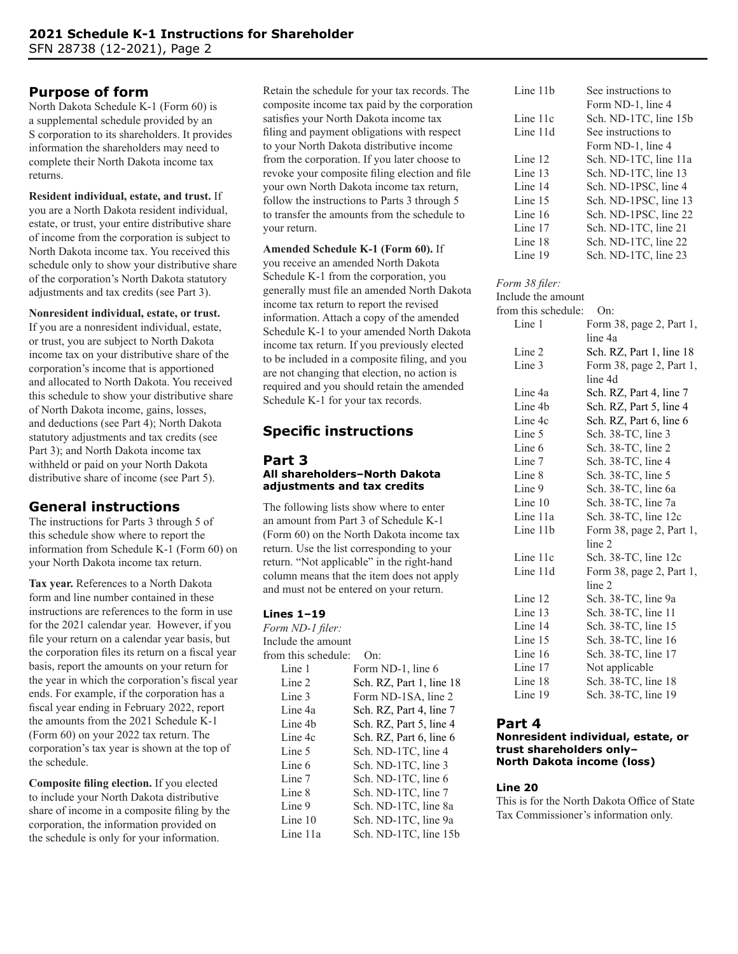# **Purpose of form**

North Dakota Schedule K-1 (Form 60) is a supplemental schedule provided by an S corporation to its shareholders. It provides information the shareholders may need to complete their North Dakota income tax returns.

**Resident individual, estate, and trust.** If you are a North Dakota resident individual, estate, or trust, your entire distributive share of income from the corporation is subject to North Dakota income tax. You received this schedule only to show your distributive share of the corporation's North Dakota statutory adjustments and tax credits (see Part 3).

### **Nonresident individual, estate, or trust.**

If you are a nonresident individual, estate, or trust, you are subject to North Dakota income tax on your distributive share of the corporation's income that is apportioned and allocated to North Dakota. You received this schedule to show your distributive share of North Dakota income, gains, losses, and deductions (see Part 4); North Dakota statutory adjustments and tax credits (see Part 3); and North Dakota income tax withheld or paid on your North Dakota distributive share of income (see Part 5).

# **General instructions**

The instructions for Parts 3 through 5 of this schedule show where to report the information from Schedule K-1 (Form 60) on your North Dakota income tax return.

**Tax year.** References to a North Dakota form and line number contained in these instructions are references to the form in use for the 2021 calendar year. However, if you file your return on a calendar year basis, but the corporation files its return on a fiscal year basis, report the amounts on your return for the year in which the corporation's fiscal year ends. For example, if the corporation has a fiscal year ending in February 2022, report the amounts from the 2021 Schedule K-1 (Form 60) on your 2022 tax return. The corporation's tax year is shown at the top of the schedule.

**Composite filing election.** If you elected to include your North Dakota distributive share of income in a composite filing by the corporation, the information provided on the schedule is only for your information.

Retain the schedule for your tax records. The composite income tax paid by the corporation satisfies your North Dakota income tax filing and payment obligations with respect to your North Dakota distributive income from the corporation. If you later choose to revoke your composite filing election and file your own North Dakota income tax return, follow the instructions to Parts 3 through 5 to transfer the amounts from the schedule to your return.

# **Amended Schedule K-1 (Form 60).** If

you receive an amended North Dakota Schedule K-1 from the corporation, you generally must file an amended North Dakota income tax return to report the revised information. Attach a copy of the amended Schedule K-1 to your amended North Dakota income tax return. If you previously elected to be included in a composite filing, and you are not changing that election, no action is required and you should retain the amended Schedule K-1 for your tax records.

# **Specific instructions**

#### **Part 3 All shareholders–North Dakota adjustments and tax credits**

The following lists show where to enter an amount from Part 3 of Schedule K-1 (Form 60) on the North Dakota income tax return. Use the list corresponding to your return. "Not applicable" in the right-hand column means that the item does not apply and must not be entered on your return.

## **Lines 1–19**

*Form ND-1 filer:* Include the amount from this schedule: On: Line 1 Form ND-1, line 6 Line 2 Sch. RZ, Part 1, line 18 Line 3 Form ND-1SA, line 2 Line 4a Sch. RZ, Part 4, line 7 Line 4b Sch. RZ, Part 5, line 4 Line 4c Sch. RZ, Part 6, line 6 Line 5 Sch. ND-1TC, line 4 Line 6 Sch. ND-1TC, line 3 Line 7 Sch. ND-1TC, line 6 Line 8 Sch. ND-1TC, line 7 Line 9 Sch. ND-1TC, line 8a Line 10 Sch. ND-1TC, line 9a Line 11a Sch. ND-1TC, line 15b

| Line 11b | See instructions to   |
|----------|-----------------------|
|          | Form ND-1, line 4     |
| Line 11c | Sch. ND-1TC, line 15b |
| Line 11d | See instructions to   |
|          | Form ND-1, line 4     |
| Line 12  | Sch. ND-1TC, line 11a |
| Line 13  | Sch. ND-1TC, line 13  |
| Line 14  | Sch. ND-1PSC, line 4  |
| Line 15  | Sch. ND-1PSC, line 13 |
| Line 16  | Sch. ND-1PSC, line 22 |
| Line 17  | Sch. ND-1TC, line 21  |
| Line 18  | Sch. ND-1TC, line 22  |
| Line 19  | Sch. ND-1TC, line 23  |

#### *Form 38 filer:*

| Include the amount  |                          |
|---------------------|--------------------------|
| from this schedule: | On:                      |
| Line 1              | Form 38, page 2, Part 1, |
|                     | line 4a                  |
| Line 2              | Sch. RZ, Part 1, line 18 |
| Line 3              | Form 38, page 2, Part 1, |
|                     | line 4d                  |
| Line 4a             | Sch. RZ, Part 4, line 7  |
| Line 4b             | Sch. RZ, Part 5, line 4  |
| Line 4c             | Sch. RZ, Part 6, line 6  |
| Line 5              | Sch. 38-TC, line 3       |
| Line 6              | Sch. 38-TC, line 2       |
| Line 7              | Sch. 38-TC, line 4       |
| Line 8              | Sch. 38-TC, line 5       |
| Line 9              | Sch. 38-TC, line 6a      |
| Line $10$           | Sch. 38-TC, line 7a      |
| Line 11a            | Sch. 38-TC, line 12c     |
| Line 11b            | Form 38, page 2, Part 1, |
|                     | line 2                   |
| Line 11c            | Sch. 38-TC, line 12c     |
| Line 11d            | Form 38, page 2, Part 1, |
|                     | line 2                   |
| Line 12             | Sch. 38-TC, line 9a      |
| Line 13             | Sch. 38-TC, line 11      |
| Line 14             | Sch. 38-TC, line 15      |
| Line 15             | Sch. 38-TC, line 16      |
| Line 16             | Sch. 38-TC, line 17      |
| Line 17             | Not applicable           |
| Line 18             | Sch. 38-TC, line 18      |
| Line 19             | Sch. 38-TC, line 19      |
|                     |                          |

# **Part 4**

#### **Nonresident individual, estate, or trust shareholders only– North Dakota income (loss)**

#### **Line 20**

This is for the North Dakota Office of State Tax Commissioner's information only.